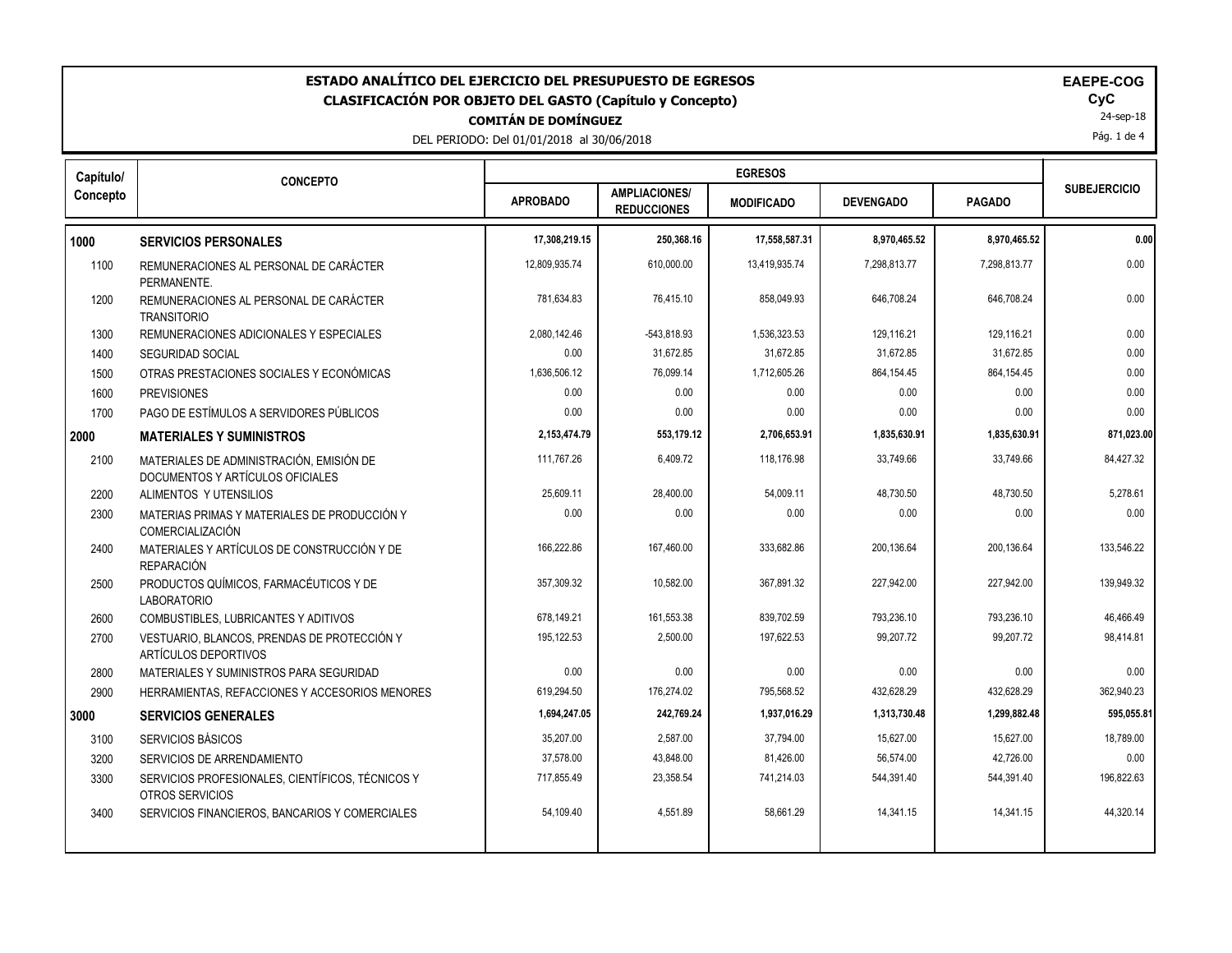| ESTADO ANALÍTICO DEL EJERCICIO DEL PRESUPUESTO DE EGRESOS<br><b>EAEPE-COG</b><br>CyC<br><b>CLASIFICACIÓN POR OBJETO DEL GASTO (Capítulo y Concepto)</b><br>24-sep-18<br><b>COMITÁN DE DOMÍNGUEZ</b><br>Pág. 1 de 4<br>DEL PERIODO: Del 01/01/2018 al 30/06/2018 |                                                                              |                 |                                            |                   |                  |               |                     |
|-----------------------------------------------------------------------------------------------------------------------------------------------------------------------------------------------------------------------------------------------------------------|------------------------------------------------------------------------------|-----------------|--------------------------------------------|-------------------|------------------|---------------|---------------------|
| Capítulo/                                                                                                                                                                                                                                                       | <b>CONCEPTO</b>                                                              |                 |                                            |                   |                  |               |                     |
| Concepto                                                                                                                                                                                                                                                        |                                                                              | <b>APROBADO</b> | <b>AMPLIACIONES/</b><br><b>REDUCCIONES</b> | <b>MODIFICADO</b> | <b>DEVENGADO</b> | <b>PAGADO</b> | <b>SUBEJERCICIO</b> |
| 1000                                                                                                                                                                                                                                                            | <b>SERVICIOS PERSONALES</b>                                                  | 17,308,219.15   | 250,368.16                                 | 17,558,587.31     | 8,970,465.52     | 8,970,465.52  | 0.00                |
| 1100                                                                                                                                                                                                                                                            | REMUNERACIONES AL PERSONAL DE CARÁCTER<br>PERMANENTE.                        | 12,809,935.74   | 610,000.00                                 | 13,419,935.74     | 7,298,813.77     | 7,298,813.77  | 0.00                |
| 1200                                                                                                                                                                                                                                                            | REMUNERACIONES AL PERSONAL DE CARÁCTER<br><b>TRANSITORIO</b>                 | 781,634.83      | 76,415.10                                  | 858.049.93        | 646,708.24       | 646,708.24    | 0.00                |
| 1300                                                                                                                                                                                                                                                            | REMUNERACIONES ADICIONALES Y ESPECIALES                                      | 2,080,142.46    | -543,818.93                                | 1,536,323.53      | 129,116.21       | 129,116.21    | 0.00                |
| 1400                                                                                                                                                                                                                                                            | <b>SEGURIDAD SOCIAL</b>                                                      | 0.00            | 31,672.85                                  | 31,672.85         | 31,672.85        | 31,672.85     | 0.00                |
| 1500                                                                                                                                                                                                                                                            | OTRAS PRESTACIONES SOCIALES Y ECONÓMICAS                                     | 1,636,506.12    | 76,099.14                                  | 1,712,605.26      | 864,154.45       | 864,154.45    | 0.00                |
| 1600                                                                                                                                                                                                                                                            | <b>PREVISIONES</b>                                                           | 0.00            | 0.00                                       | 0.00              | 0.00             | 0.00          | 0.00                |
| 1700                                                                                                                                                                                                                                                            | PAGO DE ESTÍMULOS A SERVIDORES PÚBLICOS                                      | 0.00            | 0.00                                       | 0.00              | 0.00             | 0.00          | 0.00                |
| 2000                                                                                                                                                                                                                                                            | <b>MATERIALES Y SUMINISTROS</b>                                              | 2,153,474.79    | 553,179.12                                 | 2,706,653.91      | 1,835,630.91     | 1,835,630.91  | 871,023.00          |
| 2100                                                                                                                                                                                                                                                            | MATERIALES DE ADMINISTRACIÓN, EMISIÓN DE<br>DOCUMENTOS Y ARTÍCULOS OFICIALES | 111,767.26      | 6,409.72                                   | 118,176.98        | 33,749.66        | 33,749.66     | 84,427.32           |
| 2200                                                                                                                                                                                                                                                            | ALIMENTOS Y UTENSILIOS                                                       | 25,609.11       | 28,400.00                                  | 54.009.11         | 48.730.50        | 48,730.50     | 5,278.61            |
| 2300                                                                                                                                                                                                                                                            | MATERIAS PRIMAS Y MATERIALES DE PRODUCCIÓN Y<br>COMERCIALIZACIÓN             | 0.00            | 0.00                                       | 0.00              | 0.00             | 0.00          | 0.00                |
| 2400                                                                                                                                                                                                                                                            | MATERIALES Y ARTÍCULOS DE CONSTRUCCIÓN Y DE<br><b>REPARACIÓN</b>             | 166,222.86      | 167,460.00                                 | 333,682.86        | 200,136.64       | 200,136.64    | 133,546.22          |
| 2500                                                                                                                                                                                                                                                            | PRODUCTOS QUÍMICOS, FARMACÉUTICOS Y DE<br><b>LABORATORIO</b>                 | 357,309.32      | 10,582.00                                  | 367,891.32        | 227,942.00       | 227,942.00    | 139,949.32          |
| 2600                                                                                                                                                                                                                                                            | COMBUSTIBLES, LUBRICANTES Y ADITIVOS                                         | 678,149.21      | 161,553.38                                 | 839.702.59        | 793.236.10       | 793.236.10    | 46.466.49           |
| 2700                                                                                                                                                                                                                                                            | VESTUARIO, BLANCOS, PRENDAS DE PROTECCIÓN Y<br><b>ARTÍCULOS DEPORTIVOS</b>   | 195,122.53      | 2,500.00                                   | 197,622.53        | 99,207.72        | 99,207.72     | 98,414.81           |
| 2800                                                                                                                                                                                                                                                            | MATERIALES Y SUMINISTROS PARA SEGURIDAD                                      | 0.00            | 0.00                                       | 0.00              | 0.00             | 0.00          | 0.00                |
| 2900                                                                                                                                                                                                                                                            | HERRAMIENTAS, REFACCIONES Y ACCESORIOS MENORES                               | 619,294.50      | 176,274.02                                 | 795,568.52        | 432,628.29       | 432,628.29    | 362,940.23          |
| 3000                                                                                                                                                                                                                                                            | <b>SERVICIOS GENERALES</b>                                                   | 1,694,247.05    | 242,769.24                                 | 1,937,016.29      | 1,313,730.48     | 1,299,882.48  | 595,055.81          |
| 3100                                                                                                                                                                                                                                                            | SERVICIOS BÁSICOS                                                            | 35,207.00       | 2,587.00                                   | 37,794.00         | 15,627.00        | 15,627.00     | 18,789.00           |
| 3200                                                                                                                                                                                                                                                            | SERVICIOS DE ARRENDAMIENTO                                                   | 37,578.00       | 43,848.00                                  | 81,426.00         | 56,574.00        | 42,726.00     | 0.00                |
| 3300                                                                                                                                                                                                                                                            | SERVICIOS PROFESIONALES, CIENTÍFICOS, TÉCNICOS Y<br>OTROS SERVICIOS          | 717,855.49      | 23,358.54                                  | 741,214.03        | 544,391.40       | 544,391.40    | 196,822.63          |
| 3400                                                                                                                                                                                                                                                            | SERVICIOS FINANCIEROS, BANCARIOS Y COMERCIALES                               | 54,109.40       | 4,551.89                                   | 58,661.29         | 14,341.15        | 14,341.15     | 44,320.14           |
|                                                                                                                                                                                                                                                                 |                                                                              |                 |                                            |                   |                  |               |                     |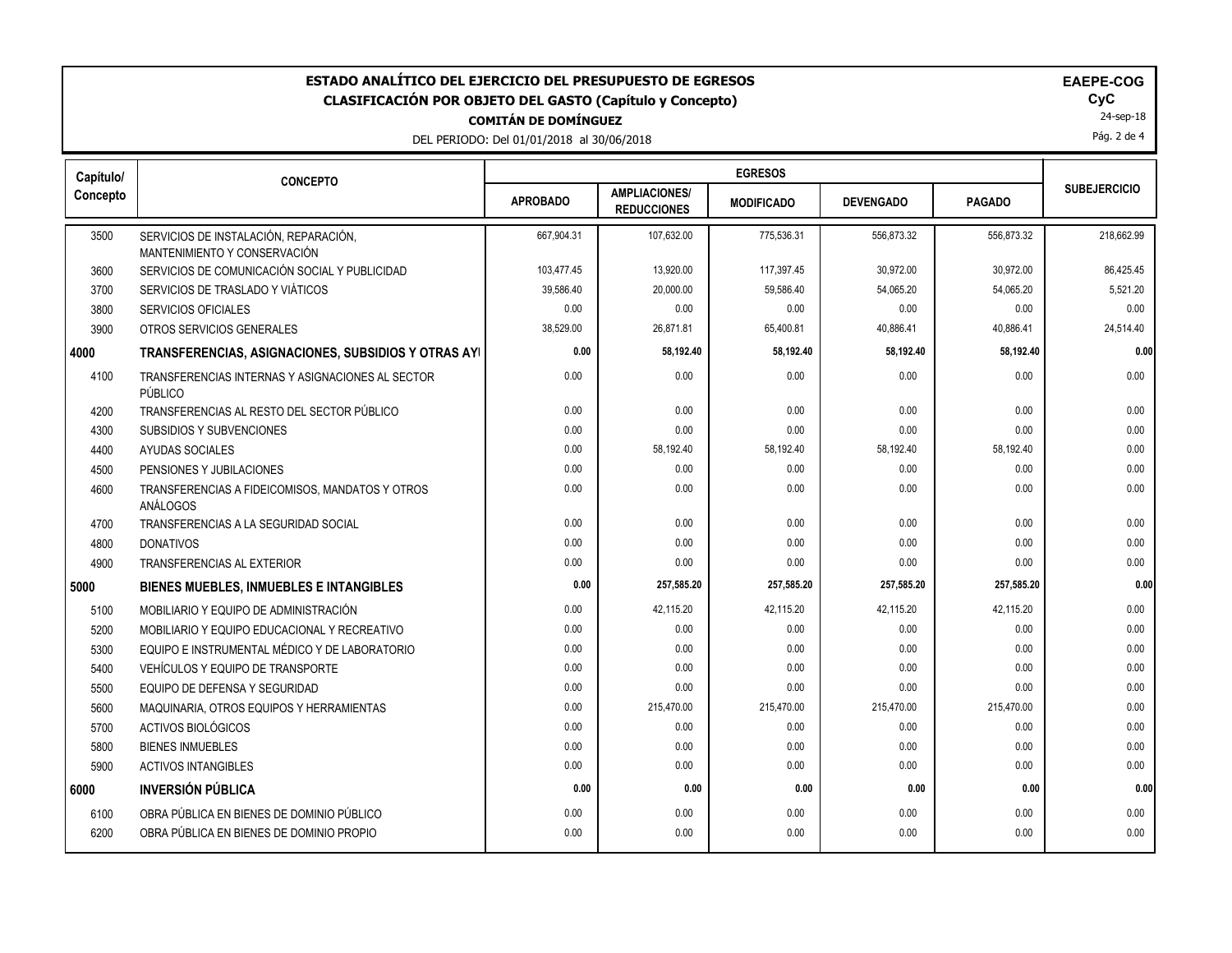| ESTADO ANALÍTICO DEL EJERCICIO DEL PRESUPUESTO DE EGRESOS<br><b>EAEPE-COG</b><br>CyC<br><b>CLASIFICACIÓN POR OBJETO DEL GASTO (Capítulo y Concepto)</b><br>24-sep-18<br><b>COMITÁN DE DOMÍNGUEZ</b><br>Pág. 2 de 4<br>DEL PERIODO: Del 01/01/2018 al 30/06/2018 |                                                                       |                 |                                            |                   |                  |               |                     |
|-----------------------------------------------------------------------------------------------------------------------------------------------------------------------------------------------------------------------------------------------------------------|-----------------------------------------------------------------------|-----------------|--------------------------------------------|-------------------|------------------|---------------|---------------------|
| Capítulo/                                                                                                                                                                                                                                                       | <b>CONCEPTO</b>                                                       |                 |                                            |                   |                  |               |                     |
| Concepto                                                                                                                                                                                                                                                        |                                                                       | <b>APROBADO</b> | <b>AMPLIACIONES/</b><br><b>REDUCCIONES</b> | <b>MODIFICADO</b> | <b>DEVENGADO</b> | <b>PAGADO</b> | <b>SUBEJERCICIO</b> |
| 3500                                                                                                                                                                                                                                                            | SERVICIOS DE INSTALACIÓN, REPARACIÓN,<br>MANTENIMIENTO Y CONSERVACIÓN | 667,904.31      | 107,632.00                                 | 775,536.31        | 556,873.32       | 556.873.32    | 218,662.99          |
| 3600                                                                                                                                                                                                                                                            | SERVICIOS DE COMUNICACIÓN SOCIAL Y PUBLICIDAD                         | 103,477.45      | 13,920.00                                  | 117,397.45        | 30,972.00        | 30,972.00     | 86,425.45           |
| 3700                                                                                                                                                                                                                                                            | SERVICIOS DE TRASLADO Y VIÁTICOS                                      | 39,586.40       | 20,000.00                                  | 59,586.40         | 54,065.20        | 54,065.20     | 5,521.20            |
| 3800                                                                                                                                                                                                                                                            | <b>SERVICIOS OFICIALES</b>                                            | 0.00            | 0.00                                       | 0.00              | 0.00             | 0.00          | 0.00                |
| 3900                                                                                                                                                                                                                                                            | OTROS SERVICIOS GENERALES                                             | 38,529.00       | 26,871.81                                  | 65,400.81         | 40,886.41        | 40,886.41     | 24,514.40           |
| 4000                                                                                                                                                                                                                                                            | TRANSFERENCIAS, ASIGNACIONES, SUBSIDIOS Y OTRAS AYI                   | 0.00            | 58,192.40                                  | 58,192.40         | 58,192.40        | 58,192.40     | 0.00                |
| 4100                                                                                                                                                                                                                                                            | TRANSFERENCIAS INTERNAS Y ASIGNACIONES AL SECTOR<br>PÚBLICO           | 0.00            | 0.00                                       | 0.00              | 0.00             | 0.00          | 0.00                |
| 4200                                                                                                                                                                                                                                                            | TRANSFERENCIAS AL RESTO DEL SECTOR PÚBLICO                            | 0.00            | 0.00                                       | 0.00              | 0.00             | 0.00          | 0.00                |
| 4300                                                                                                                                                                                                                                                            | <b>SUBSIDIOS Y SUBVENCIONES</b>                                       | 0.00            | 0.00                                       | 0.00              | 0.00             | 0.00          | 0.00                |
| 4400                                                                                                                                                                                                                                                            | AYUDAS SOCIALES                                                       | 0.00            | 58,192.40                                  | 58,192.40         | 58,192.40        | 58,192.40     | 0.00                |
| 4500                                                                                                                                                                                                                                                            | PENSIONES Y JUBILACIONES                                              | 0.00            | 0.00                                       | 0.00              | 0.00             | 0.00          | 0.00                |
| 4600                                                                                                                                                                                                                                                            | TRANSFERENCIAS A FIDEICOMISOS, MANDATOS Y OTROS<br>ANÁLOGOS           | 0.00            | 0.00                                       | 0.00              | 0.00             | 0.00          | 0.00                |
| 4700                                                                                                                                                                                                                                                            | TRANSFERENCIAS A LA SEGURIDAD SOCIAL                                  | 0.00            | 0.00                                       | 0.00              | 0.00             | 0.00          | 0.00                |
| 4800                                                                                                                                                                                                                                                            | <b>DONATIVOS</b>                                                      | 0.00            | 0.00                                       | 0.00              | 0.00             | 0.00          | 0.00                |
| 4900                                                                                                                                                                                                                                                            | <b>TRANSFERENCIAS AL EXTERIOR</b>                                     | 0.00            | 0.00                                       | 0.00              | 0.00             | 0.00          | 0.00                |
| 5000                                                                                                                                                                                                                                                            | BIENES MUEBLES, INMUEBLES E INTANGIBLES                               | 0.00            | 257,585.20                                 | 257,585.20        | 257,585.20       | 257,585.20    | 0.00                |
| 5100                                                                                                                                                                                                                                                            | MOBILIARIO Y EQUIPO DE ADMINISTRACIÓN                                 | 0.00            | 42,115.20                                  | 42,115.20         | 42,115.20        | 42,115.20     | 0.00                |
| 5200                                                                                                                                                                                                                                                            | MOBILIARIO Y EQUIPO EDUCACIONAL Y RECREATIVO                          | 0.00            | 0.00                                       | 0.00              | 0.00             | 0.00          | 0.00                |
| 5300                                                                                                                                                                                                                                                            | EQUIPO E INSTRUMENTAL MÉDICO Y DE LABORATORIO                         | 0.00            | 0.00                                       | 0.00              | 0.00             | 0.00          | 0.00                |
| 5400                                                                                                                                                                                                                                                            | <b>VEHÍCULOS Y EQUIPO DE TRANSPORTE</b>                               | 0.00            | 0.00                                       | 0.00              | 0.00             | 0.00          | 0.00                |
| 5500                                                                                                                                                                                                                                                            | EQUIPO DE DEFENSA Y SEGURIDAD                                         | 0.00            | 0.00                                       | 0.00              | 0.00             | 0.00          | 0.00                |
| 5600                                                                                                                                                                                                                                                            | MAQUINARIA, OTROS EQUIPOS Y HERRAMIENTAS                              | 0.00            | 215,470.00                                 | 215,470.00        | 215,470.00       | 215,470.00    | 0.00                |
| 5700                                                                                                                                                                                                                                                            | ACTIVOS BIOLÓGICOS                                                    | 0.00            | 0.00                                       | 0.00              | 0.00             | 0.00          | 0.00                |
| 5800                                                                                                                                                                                                                                                            | <b>BIENES INMUEBLES</b>                                               | 0.00            | 0.00                                       | 0.00              | 0.00             | 0.00          | 0.00                |
| 5900                                                                                                                                                                                                                                                            | <b>ACTIVOS INTANGIBLES</b>                                            | 0.00            | 0.00                                       | 0.00              | 0.00             | 0.00          | 0.00                |
| 6000                                                                                                                                                                                                                                                            | <b>INVERSIÓN PÚBLICA</b>                                              | 0.00            | 0.00                                       | 0.00              | 0.00             | 0.00          | 0.00                |
| 6100                                                                                                                                                                                                                                                            | OBRA PÚBLICA EN BIENES DE DOMINIO PÚBLICO                             | 0.00            | 0.00                                       | 0.00              | 0.00             | 0.00          | 0.00                |
| 6200                                                                                                                                                                                                                                                            | OBRA PÚBLICA EN BIENES DE DOMINIO PROPIO                              | 0.00            | 0.00                                       | 0.00              | 0.00             | 0.00          | 0.00                |
|                                                                                                                                                                                                                                                                 |                                                                       |                 |                                            |                   |                  |               |                     |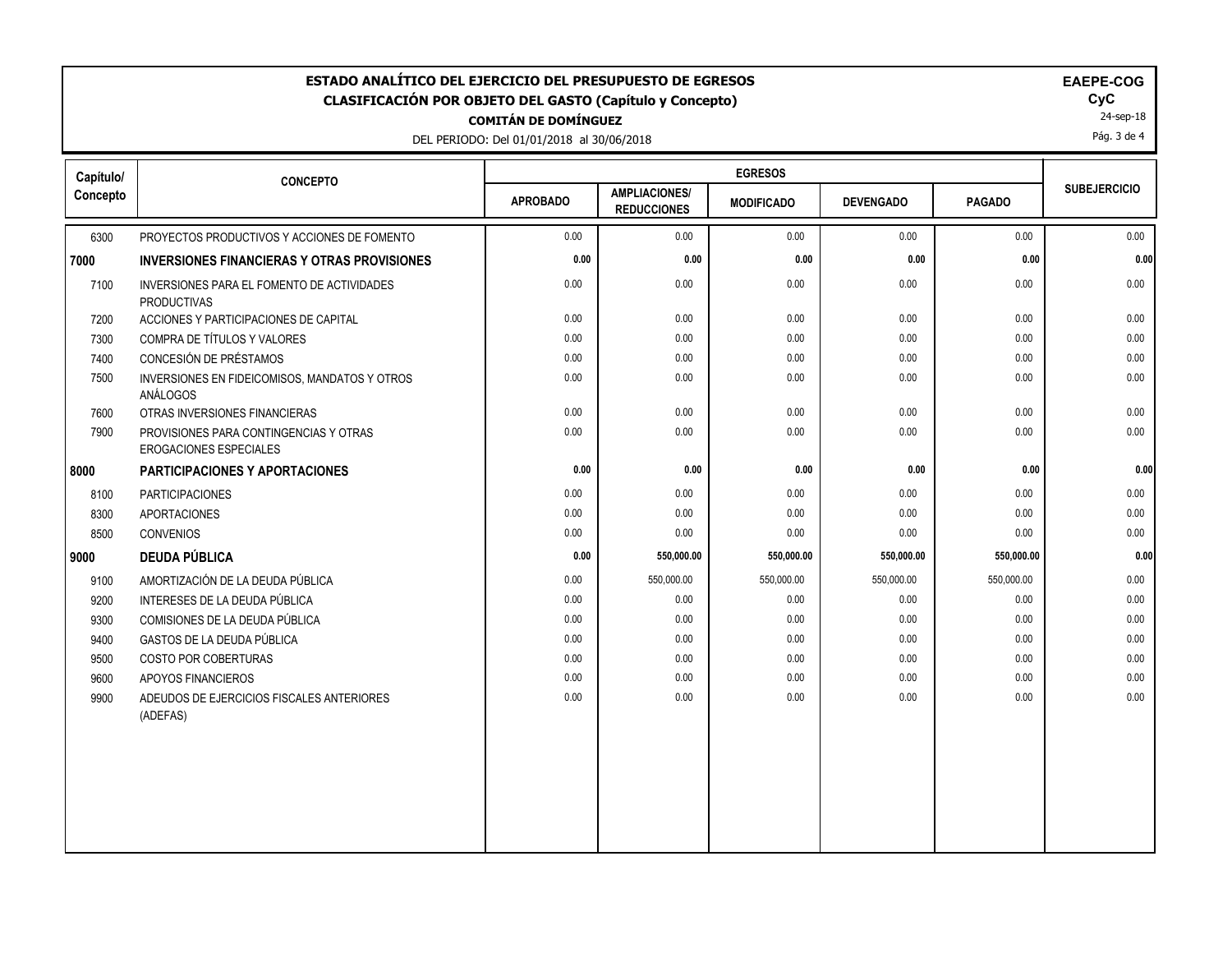| ESTADO ANALÍTICO DEL EJERCICIO DEL PRESUPUESTO DE EGRESOS<br>EAEPE-COG<br>CyC<br><b>CLASIFICACIÓN POR OBJETO DEL GASTO (Capítulo y Concepto)</b><br>24-sep-18<br><b>COMITÁN DE DOMÍNGUEZ</b><br>Pág. 3 de 4<br>DEL PERIODO: Del 01/01/2018 al 30/06/2018 |                                                                  |                 |                                            |                   |                  |               |                     |
|----------------------------------------------------------------------------------------------------------------------------------------------------------------------------------------------------------------------------------------------------------|------------------------------------------------------------------|-----------------|--------------------------------------------|-------------------|------------------|---------------|---------------------|
| Capítulo/                                                                                                                                                                                                                                                | <b>CONCEPTO</b>                                                  |                 |                                            |                   |                  |               |                     |
| Concepto                                                                                                                                                                                                                                                 |                                                                  | <b>APROBADO</b> | <b>AMPLIACIONES/</b><br><b>REDUCCIONES</b> | <b>MODIFICADO</b> | <b>DEVENGADO</b> | <b>PAGADO</b> | <b>SUBEJERCICIO</b> |
| 6300                                                                                                                                                                                                                                                     | PROYECTOS PRODUCTIVOS Y ACCIONES DE FOMENTO                      | 0.00            | 0.00                                       | 0.00              | 0.00             | 0.00          | 0.00                |
| 7000                                                                                                                                                                                                                                                     | <b>INVERSIONES FINANCIERAS Y OTRAS PROVISIONES</b>               | 0.00            | 0.00                                       | 0.00              | 0.00             | 0.00          | 0.00                |
| 7100                                                                                                                                                                                                                                                     | INVERSIONES PARA EL FOMENTO DE ACTIVIDADES<br><b>PRODUCTIVAS</b> | 0.00            | 0.00                                       | 0.00              | 0.00             | 0.00          | 0.00                |
| 7200                                                                                                                                                                                                                                                     | ACCIONES Y PARTICIPACIONES DE CAPITAL                            | 0.00            | 0.00                                       | 0.00              | 0.00             | 0.00          | 0.00                |
| 7300                                                                                                                                                                                                                                                     | COMPRA DE TÍTULOS Y VALORES                                      | 0.00            | 0.00                                       | 0.00              | 0.00             | 0.00          | 0.00                |
| 7400                                                                                                                                                                                                                                                     | CONCESIÓN DE PRÉSTAMOS                                           | 0.00            | 0.00                                       | 0.00              | 0.00             | 0.00          | 0.00                |
| 7500                                                                                                                                                                                                                                                     | INVERSIONES EN FIDEICOMISOS, MANDATOS Y OTROS<br>ANÁLOGOS        | 0.00            | 0.00                                       | 0.00              | 0.00             | 0.00          | $0.00\,$            |
| 7600                                                                                                                                                                                                                                                     | OTRAS INVERSIONES FINANCIERAS                                    | 0.00            | 0.00                                       | 0.00              | 0.00             | 0.00          | 0.00                |
| 7900                                                                                                                                                                                                                                                     | PROVISIONES PARA CONTINGENCIAS Y OTRAS<br>EROGACIONES ESPECIALES | 0.00            | 0.00                                       | 0.00              | 0.00             | 0.00          | 0.00                |
| 8000                                                                                                                                                                                                                                                     | <b>PARTICIPACIONES Y APORTACIONES</b>                            | 0.00            | 0.00                                       | 0.00              | 0.00             | 0.00          | 0.00                |
| 8100                                                                                                                                                                                                                                                     | <b>PARTICIPACIONES</b>                                           | 0.00            | 0.00                                       | 0.00              | 0.00             | 0.00          | 0.00                |
| 8300                                                                                                                                                                                                                                                     | <b>APORTACIONES</b>                                              | 0.00            | 0.00                                       | 0.00              | 0.00             | 0.00          | 0.00                |
| 8500                                                                                                                                                                                                                                                     | <b>CONVENIOS</b>                                                 | 0.00            | 0.00                                       | 0.00              | 0.00             | 0.00          | 0.00                |
| 9000                                                                                                                                                                                                                                                     | <b>DEUDA PÚBLICA</b>                                             | 0.00            | 550,000.00                                 | 550,000.00        | 550,000.00       | 550,000.00    | 0.00                |
| 9100                                                                                                                                                                                                                                                     | AMORTIZACIÓN DE LA DEUDA PÚBLICA                                 | 0.00            | 550,000.00                                 | 550,000.00        | 550,000.00       | 550,000.00    | 0.00                |
| 9200                                                                                                                                                                                                                                                     | INTERESES DE LA DEUDA PÚBLICA                                    | 0.00            | 0.00                                       | 0.00              | 0.00             | 0.00          | 0.00                |
| 9300                                                                                                                                                                                                                                                     | COMISIONES DE LA DEUDA PÚBLICA                                   | 0.00            | 0.00                                       | 0.00              | 0.00             | 0.00          | 0.00                |
| 9400                                                                                                                                                                                                                                                     | <b>GASTOS DE LA DEUDA PÚBLICA</b>                                | 0.00            | 0.00                                       | 0.00              | 0.00             | 0.00          | 0.00                |
| 9500                                                                                                                                                                                                                                                     | COSTO POR COBERTURAS                                             | 0.00            | 0.00                                       | 0.00              | 0.00             | 0.00          | 0.00                |
| 9600                                                                                                                                                                                                                                                     | APOYOS FINANCIEROS                                               | 0.00            | 0.00                                       | 0.00              | 0.00             | 0.00          | 0.00                |
| 9900                                                                                                                                                                                                                                                     | ADEUDOS DE EJERCICIOS FISCALES ANTERIORES<br>(ADEFAS)            | 0.00            | 0.00                                       | 0.00              | 0.00             | 0.00          | 0.00                |
|                                                                                                                                                                                                                                                          |                                                                  |                 |                                            |                   |                  |               |                     |